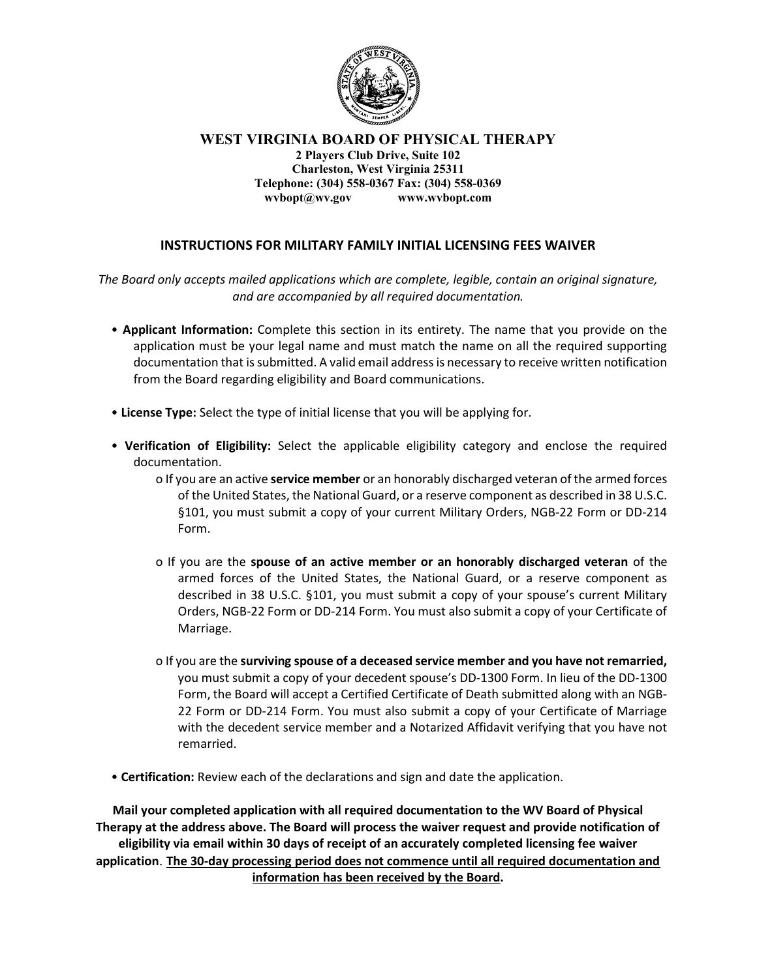

WEST VIRGINIA BOARD OF PHYSICAL THERAPY 2 Players Club Drive, Suite 102 Charleston, West Virginia 25311 Telephone: (304) 558-0367 Fax: (304) 558-0369 wvbopt@wv.gov www.wvbopt.com

## INSTRUCTIONS FOR MILITARY FAMILY INITIAL LICENSING FEES WAIVER

The Board only accepts mailed applications which are complete, legible, contain an original signature, and are accompanied by all required documentation.

- Applicant Information: Complete this section in its entirety. The name that you provide on the application must be your legal name and must match the name on all the required supporting documentation that is submitted. A valid email address is necessary to receive written notification from the Board regarding eligibility and Board communications.
- License Type: Select the type of initial license that you will be applying for.
- Verification of Eligibility: Select the applicable eligibility category and enclose the required documentation.
	- o If you are an active **service member** or an honorably discharged veteran of the armed forces of the United States, the National Guard, or a reserve component as described in 38 U.S.C. §101, you must submit a copy of your current Military Orders, NGB-22 Form or DD-214 Form.
	- o If you are the spouse of an active member or an honorably discharged veteran of the armed forces of the United States, the National Guard, or a reserve component as described in 38 U.S.C. §101, you must submit a copy of your spouse's current Military Orders, NGB-22 Form or DD-214 Form. You must also submit a copy of your Certificate of Marriage.
	- o If you are the surviving spouse of a deceased service member and you have not remarried, you must submit a copy of your decedent spouse's DD-1300 Form. In lieu of the DD-1300 Form, the Board will accept a Certified Certificate of Death submitted along with an NGB-22 Form or DD-214 Form. You must also submit a copy of your Certificate of Marriage with the decedent service member and a Notarized Affidavit verifying that you have not remarried.
- Certification: Review each of the declarations and sign and date the application.

Mail your completed application with all required documentation to the WV Board of Physical Therapy at the address above. The Board will process the waiver request and provide notification of eligibility via email within 30 days of receipt of an accurately completed licensing fee waiver application. The 30-day processing period does not commence until all required documentation and information has been received by the Board.